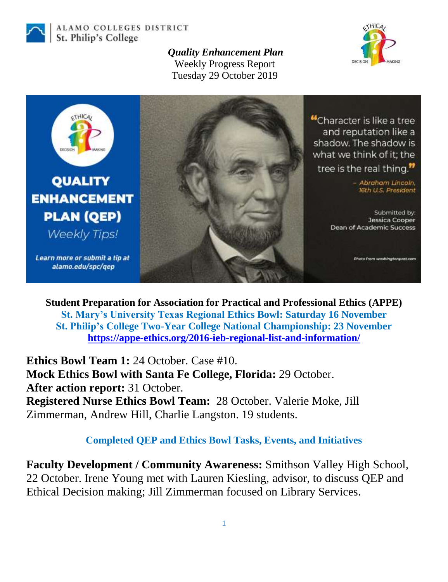

ALAMO COLLEGES DISTRICT St. Philip's College

> *Quality Enhancement Plan* Weekly Progress Report Tuesday 29 October 2019





**Student Preparation for Association for Practical and Professional Ethics (APPE) St. Mary's University Texas Regional Ethics Bowl: Saturday 16 November St. Philip's College Two-Year College National Championship: 23 November <https://appe-ethics.org/2016-ieb-regional-list-and-information/>**

**Ethics Bowl Team 1:** 24 October. Case #10. **Mock Ethics Bowl with Santa Fe College, Florida:** 29 October. **After action report:** 31 October. **Registered Nurse Ethics Bowl Team:** 28 October. Valerie Moke, Jill Zimmerman, Andrew Hill, Charlie Langston. 19 students.

## **Completed QEP and Ethics Bowl Tasks, Events, and Initiatives**

**Faculty Development / Community Awareness:** Smithson Valley High School, 22 October. Irene Young met with Lauren Kiesling, advisor, to discuss QEP and Ethical Decision making; Jill Zimmerman focused on Library Services.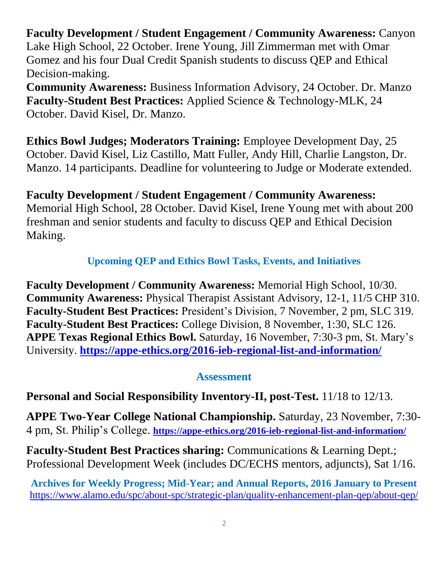**Faculty Development / Student Engagement / Community Awareness:** Canyon Lake High School, 22 October. Irene Young, Jill Zimmerman met with Omar Gomez and his four Dual Credit Spanish students to discuss QEP and Ethical Decision-making.

**Community Awareness:** Business Information Advisory, 24 October. Dr. Manzo **Faculty-Student Best Practices:** Applied Science & Technology-MLK, 24 October. David Kisel, Dr. Manzo.

**Ethics Bowl Judges; Moderators Training:** Employee Development Day, 25 October. David Kisel, Liz Castillo, Matt Fuller, Andy Hill, Charlie Langston, Dr. Manzo. 14 participants. Deadline for volunteering to Judge or Moderate extended.

**Faculty Development / Student Engagement / Community Awareness:** Memorial High School, 28 October. David Kisel, Irene Young met with about 200 freshman and senior students and faculty to discuss QEP and Ethical Decision Making.

## **Upcoming QEP and Ethics Bowl Tasks, Events, and Initiatives**

**Faculty Development / Community Awareness:** Memorial High School, 10/30. **Community Awareness:** Physical Therapist Assistant Advisory, 12-1, 11/5 CHP 310. **Faculty-Student Best Practices:** President's Division, 7 November, 2 pm, SLC 319. **Faculty-Student Best Practices:** College Division, 8 November, 1:30, SLC 126. **APPE Texas Regional Ethics Bowl.** Saturday, 16 November, 7:30-3 pm, St. Mary's University. **<https://appe-ethics.org/2016-ieb-regional-list-and-information/>**

## **Assessment**

**Personal and Social Responsibility Inventory-II, post-Test.** 11/18 to 12/13.

**APPE Two-Year College National Championship.** Saturday, 23 November, 7:30- 4 pm, St. Philip's College. **<https://appe-ethics.org/2016-ieb-regional-list-and-information/>**

**Faculty-Student Best Practices sharing:** Communications & Learning Dept.; Professional Development Week (includes DC/ECHS mentors, adjuncts), Sat 1/16.

**Archives for Weekly Progress; Mid-Year; and Annual Reports, 2016 January to Present** <https://www.alamo.edu/spc/about-spc/strategic-plan/quality-enhancement-plan-qep/about-qep/>